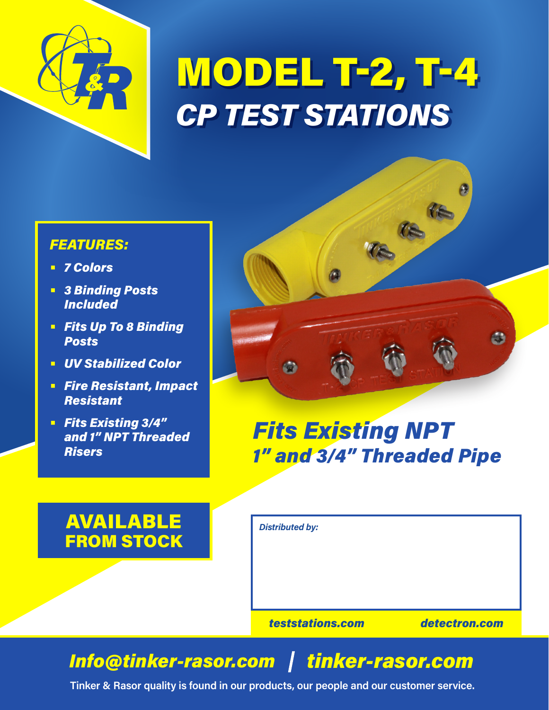

## MODEL T-2, T-4 *CP TEST STATIONS*

## *FEATURES:*

- **•** *7 Colors*
- **•** *3 Binding Posts Included*
- **•** *Fits Up To 8 Binding Posts*
- **•** *UV Stabilized Color*
- **•** *Fire Resistant, Impact Resistant*
- **•** *Fits Existing 3/4" and 1" NPT Threaded Risers*



## AVAILABLE FROM STOCK

*Distributed by:*

*teststations.com detectron.com*

é3

## *Info@tinker-rasor.com tinker-rasor.com*

**Tinker & Rasor quality is found in our products, our people and our customer service.**